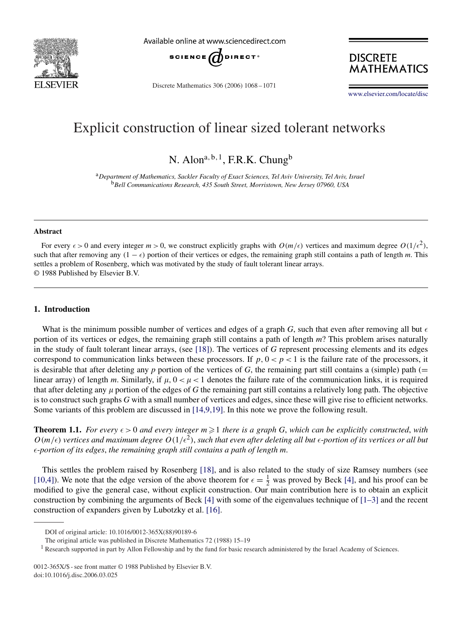

Available online at www.sciencedirect.com



Discrete Mathematics 306 (2006) 1068 – 1071

**DISCRETE MATHEMATICS** 

[www.elsevier.com/locate/disc](http://www.elsevier.com/locate/disc)

# Explicit construction of linear sized tolerant networks

N. Alon<sup>a, b, 1</sup>, F.R.K. Chung<sup>b</sup>

<sup>a</sup>*Department of Mathematics, Sackler Faculty of Exact Sciences, Tel Aviv University, Tel Aviv, Israel* <sup>b</sup>*Bell Communications Research, 435 South Street, Morristown, New Jersey 07960, USA*

#### **Abstract**

For every  $\epsilon > 0$  and every integer  $m > 0$ , we construct explicitly graphs with  $O(m/\epsilon)$  vertices and maximum degree  $O(1/\epsilon^2)$ , such that after removing any  $(1 - \epsilon)$  portion of their vertices or edges, the remaining graph still contains a path of length *m*. This settles a problem of Rosenberg, which was motivated by the study of fault tolerant linear arrays. © 1988 Published by Elsevier B.V.

### **1. Introduction**

What is the minimum possible number of vertices and edges of a graph *G*, such that even after removing all but  $\epsilon$ portion of its vertices or edges, the remaining graph still contains a path of length *m*? This problem arises naturally in the study of fault tolerant linear arrays, (see [\[18\]\)](#page-3-0). The vertices of *G* represent processing elements and its edges correspond to communication links between these processors. If  $p, 0 < p < 1$  is the failure rate of the processors, it is desirable that after deleting any  $p$  portion of the vertices of  $G$ , the remaining part still contains a (simple) path (= linear array) of length *m*. Similarly, if  $\mu$ ,  $0 < \mu < 1$  denotes the failure rate of the communication links, it is required that after deleting any  $\mu$  portion of the edges of  $G$  the remaining part still contains a relatively long path. The objective is to construct such graphs *G* with a small number of vertices and edges, since these will give rise to efficient networks. Some variants of this problem are discussed in [14,9,19]. In this note we prove the following result.

**Theorem 1.1.** For every  $\epsilon > 0$  and every integer  $m \geq 1$  there is a graph G, which can be explicitly constructed, with  $O(m/\epsilon)$  vertices and maximum degree  $O(1/\epsilon^2)$ , such that even after deleting all but  $\epsilon$ -portion of its vertices or all but -*portion of its edges*, *the remaining graph still contains a path of length m*.

This settles the problem raised by Rosenberg [\[18\],](#page-3-0) and is also related to the study of size Ramsey numbers (see [10,4]). We note that the edge version of the above theorem for  $\epsilon = \frac{1}{2}$  was proved by Beck [\[4\],](#page-3-0) and his proof can be modified to give the general case, without explicit construction. Our main contribution here is to obtain an explicit construction by combining the arguments of Beck [\[4\]](#page-3-0) with some of the eigenvalues technique of [1–3] and the recent construction of expanders given by Lubotzky et al. [\[16\].](#page-3-0)

DOI of original article: 10.1016/0012-365X(88)90189-6

The original article was published in Discrete Mathematics 72 (1988) 15–19

Research supported in part by Allon Fellowship and by the fund for basic research administered by the Israel Academy of Sciences.

<sup>0012-365</sup>X/\$ - see front matter © 1988 Published by Elsevier B.V. doi:10.1016/j.disc.2006.03.025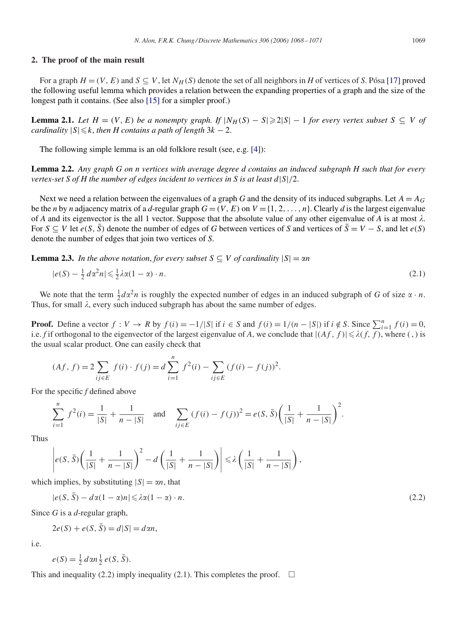#### **2. The proof of the main result**

For a graph  $H = (V, E)$  and  $S \subseteq V$ , let  $N_H(S)$  denote the set of all neighbors in *H* of vertices of *S*. Pósa [\[17\]](#page-3-0) proved the following useful lemma which provides a relation between the expanding properties of a graph and the size of the longest path it contains. (See also [\[15\]](#page-3-0) for a simpler proof.)

**Lemma 2.1.** *Let*  $H = (V, E)$  *be a nonempty graph. If*  $|N_H(S) - S| \ge 2|S| - 1$  *for every vertex subset*  $S \subseteq V$  *of cardinality*  $|S| \leq k$ , *then H contains a path of length*  $3k - 2$ .

The following simple lemma is an old folklore result (see, e.g. [\[4\]\)](#page-3-0):

**Lemma 2.2.** *Any graph G on n vertices with average degree d contains an induced subgraph H such that for every vertex-set S of H the number of edges incident to vertices in S is at least* d|S|/2.

Next we need a relation between the eigenvalues of a graph *G* and the density of its induced subgraphs. Let  $A = A_G$ be the *n* by *n* adjacency matrix of a *d*-regular graph  $G = (V, E)$  on  $V = \{1, 2, ..., n\}$ . Clearly *d* is the largest eigenvalue of *A* and its eigenvector is the all 1 vector. Suppose that the absolute value of any other eigenvalue of *A* is at most  $\lambda$ . For  $S \subseteq V$  let  $e(S, \overline{S})$  denote the number of edges of *G* between vertices of *S* and vertices of  $\overline{S} = V - S$ , and let  $e(S)$ denote the number of edges that join two vertices of *S*.

**Lemma 2.3.** *In the above notation, for every subset*  $S \subseteq V$  *of cardinality*  $|S| = \alpha n$ 

$$
|e(S) - \frac{1}{2} d\alpha^2 n| \leq \frac{1}{2} \lambda \alpha (1 - \alpha) \cdot n. \tag{2.1}
$$

We note that the term  $\frac{1}{2}d\alpha^2n$  is roughly the expected number of edges in an induced subgraph of *G* of size  $\alpha \cdot n$ . Thus, for small  $\lambda$ , every such induced subgraph has about the same number of edges.

**Proof.** Define a vector  $f: V \to R$  by  $f(i) = -1/|S|$  if  $i \in S$  and  $f(i) = 1/(n - |S|)$  if  $i \notin S$ . Since  $\sum_{i=1}^{n} f(i) = 0$ , i.e. *f* if orthogonal to the eigenvector of the largest eigenvalue of *A*, we conclude that  $|(Af, f)| \le \lambda(f, f)$ , where (,) is the usual scalar product. One can easily check that

$$
(Af, f) = 2 \sum_{ij \in E} f(i) \cdot f(j) = d \sum_{i=1}^{n} f^{2}(i) - \sum_{ij \in E} (f(i) - f(j))^{2}.
$$

For the specific *f* defined above

$$
\sum_{i=1}^{n} f^{2}(i) = \frac{1}{|S|} + \frac{1}{n-|S|} \quad \text{and} \quad \sum_{ij \in E} (f(i) - f(j))^{2} = e(S, \bar{S}) \left( \frac{1}{|S|} + \frac{1}{n-|S|} \right)^{2}.
$$

Thus

$$
\left| e(S, \bar{S}) \left( \frac{1}{|S|} + \frac{1}{n-|S|} \right)^2 - d \left( \frac{1}{|S|} + \frac{1}{n-|S|} \right) \right| \leq \lambda \left( \frac{1}{|S|} + \frac{1}{n-|S|} \right),
$$

which implies, by substituting  $|S| = \alpha n$ , that

$$
|e(S,\bar{S}) - d\alpha(1-\alpha)n| \leq \lambda \alpha(1-\alpha) \cdot n. \tag{2.2}
$$

Since *G* is a *d*-regular graph,

$$
2e(S) + e(S, \overline{S}) = d|S| = d\alpha n,
$$

i.e.

$$
e(S) = \frac{1}{2} d\alpha n \frac{1}{2} e(S, \overline{S}).
$$

This and inequality (2.2) imply inequality (2.1). This completes the proof.  $\Box$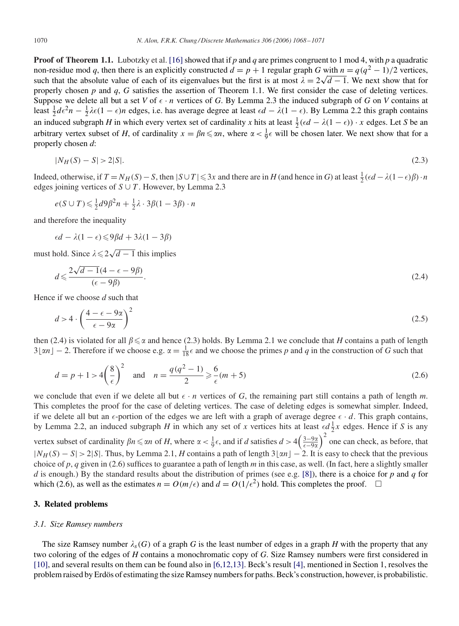**Proof of Theorem 1.1.** Lubotzky et al. [\[16\]](#page-3-0) showed that if *p* and *q* are primes congruent to 1 mod 4, with *p* a quadratic non-residue mod *q*, then there is an explicitly constructed  $d = p + 1$  regular graph *G* with  $n = q(q^2 - 1)/2$  vertices, non-residue mod q, then there is an explicitly constructed  $a = p + 1$  regular graph G with  $n = q(q^2 - 1)/2$  vertices, such that the absolute value of each of its eigenvalues but the first is at most  $\lambda = 2\sqrt{d-1}$ . We next sho properly chosen *p* and *q*, *G* satisfies the assertion of Theorem 1.1. We first consider the case of deleting vertices. Suppose we delete all but a set *V* of  $\epsilon \cdot n$  vertices of *G*. By Lemma 2.3 the induced subgraph of *G* on *V* contains at least  $\frac{1}{2}d\epsilon^2n - \frac{1}{2}\lambda\epsilon(1-\epsilon)n$  edges, i.e. has average degree at least  $\epsilon d - \lambda(1-\epsilon)$ . By Lemma 2.2 this graph contains an induced subgraph *H* in which every vertex set of cardinality *x* hits at least  $\frac{1}{2}(\epsilon d - \lambda(1 - \epsilon)) \cdot x$  edges. Let *S* be an arbitrary vertex subset of *H*, of cardinality  $x = \beta n \le \alpha n$ , where  $\alpha < \frac{1}{9}\epsilon$  will be chosen later. We next show that for a properly chosen *d*:

$$
|N_H(S) - S| > 2|S|.\tag{2.3}
$$

Indeed, otherwise, if  $T = N_H(S) - S$ , then  $|S \cup T| \leq 3x$  and there are in *H* (and hence in *G*) at least  $\frac{1}{2}(\epsilon d - \lambda(1 - \epsilon)\beta) \cdot n$ edges joining vertices of  $S \cup T$ . However, by Lemma 2.3

$$
e(S \cup T) \leq \frac{1}{2}d9\beta^2 n + \frac{1}{2}\lambda \cdot 3\beta(1 - 3\beta) \cdot n
$$

and therefore the inequality

$$
\epsilon d - \lambda (1 - \epsilon) \leq 9 \beta d + 3 \lambda (1 - 3 \beta)
$$

must hold. Since  $\lambda \leq 2\sqrt{d-1}$  this implies

$$
d \leqslant \frac{2\sqrt{d-1}(4-\epsilon-9\beta)}{(\epsilon-9\beta)}.
$$
\n
$$
(2.4)
$$

Hence if we choose *d* such that

$$
d > 4 \cdot \left(\frac{4 - \epsilon - 9\alpha}{\epsilon - 9\alpha}\right)^2 \tag{2.5}
$$

then (2.4) is violated for all  $\beta \le \alpha$  and hence (2.3) holds. By Lemma 2.1 we conclude that *H* contains a path of length  $3\lfloor \alpha n \rfloor - 2$ . Therefore if we choose e.g.  $\alpha = \frac{1}{18}\epsilon$  and we choose the primes p and q in the construction of G such that

$$
d = p + 1 > 4\left(\frac{8}{\epsilon}\right)^2 \quad \text{and} \quad n = \frac{q(q^2 - 1)}{2} \geqslant \frac{6}{\epsilon}(m + 5) \tag{2.6}
$$

we conclude that even if we delete all but  $\epsilon \cdot n$  vertices of G, the remaining part still contains a path of length m. This completes the proof for the case of deleting vertices. The case of deleting edges is somewhat simpler. Indeed, if we delete all but an  $\epsilon$ -portion of the edges we are left with a graph of average degree  $\epsilon \cdot d$ . This graph contains, by Lemma 2.2, an induced subgraph *H* in which any set of *x* vertices hits at least  $\epsilon d \frac{1}{2}x$  edges. Hence if *S* is any vertex subset of cardinality  $\beta n \le \alpha n$  of *H*, where  $\alpha < \frac{1}{9} \epsilon$ , and if *d* satisfies  $d > 4\left(\frac{3-9\alpha}{\epsilon-9\alpha}\right)^2$  one can check, as before, that  $|N_H(S) - S| > 2|S|$ . Thus, by Lemma 2.1, *H* contains a path of length  $3\lfloor \alpha n \rfloor - 2$ . It is easy to check that the previous choice of *p*, *q* given in (2.6) suffices to guarantee a path of length *m* in this case, as well. (In fact, here a slightly smaller *d* is enough.) By the standard results about the distribution of primes (see e.g. [\[8\]\)](#page-3-0), there is a choice for *p* and *q* for which (2.6), as well as the estimates  $n = O(m/\epsilon)$  and  $d = O(1/\epsilon^2)$  hold. This completes the proof.  $\Box$ 

# **3. Related problems**

#### *3.1. Size Ramsey numbers*

The size Ramsey number  $\lambda_s(G)$  of a graph G is the least number of edges in a graph H with the property that any two coloring of the edges of *H* contains a monochromatic copy of *G*. Size Ramsey numbers were first considered in [\[10\],](#page-3-0) and several results on them can be found also in [6,12,13]. Beck's result [\[4\],](#page-3-0) mentioned in Section 1, resolves the problem raised by Erdös of estimating the size Ramsey numbers for paths. Beck's construction, however, is probabilistic.